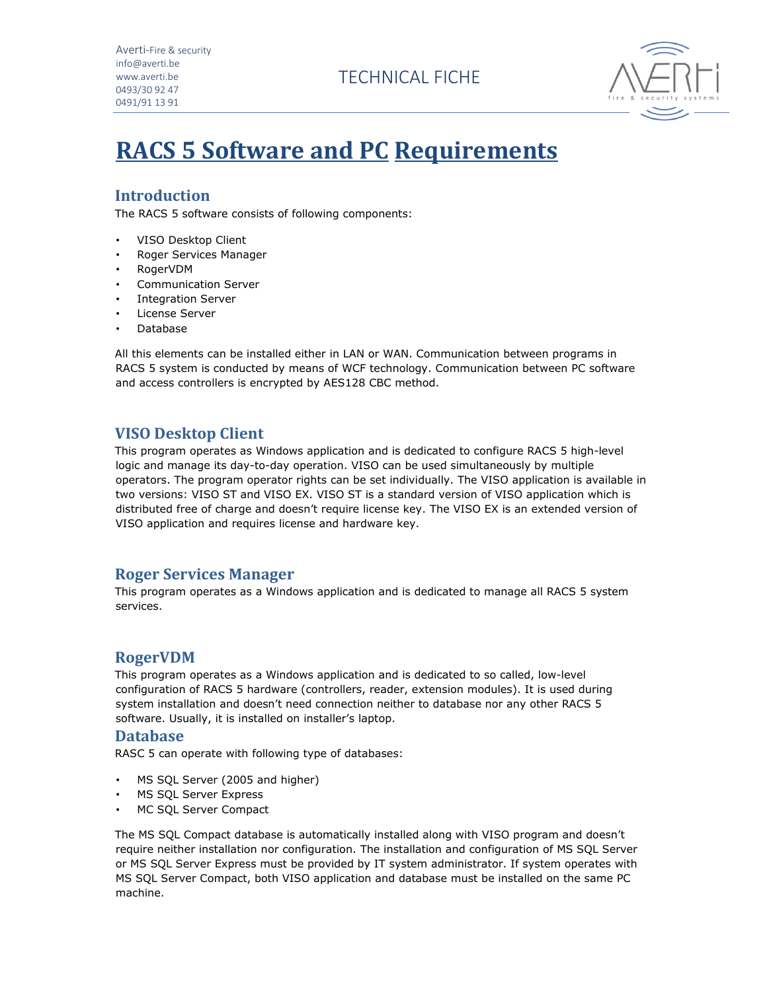Averti-Fire & security info@averti.be www.averti.be 0493/30 92 47 0491/91 13 91

TECHNICAL FICHE



# **RACS 5 Software and PC Requirements**

# **Introduction**

The RACS 5 software consists of following components:

- VISO Desktop Client
- Roger Services Manager
- RogerVDM
- Communication Server
- Integration Server
- License Server
- Database

All this elements can be installed either in LAN or WAN. Communication between programs in RACS 5 system is conducted by means of WCF technology. Communication between PC software and access controllers is encrypted by AES128 CBC method.

# **VISO Desktop Client**

This program operates as Windows application and is dedicated to configure RACS 5 high-level logic and manage its day-to-day operation. VISO can be used simultaneously by multiple operators. The program operator rights can be set individually. The VISO application is available in two versions: VISO ST and VISO EX. VISO ST is a standard version of VISO application which is distributed free of charge and doesn't require license key. The VISO EX is an extended version of VISO application and requires license and hardware key.

## **Roger Services Manager**

This program operates as a Windows application and is dedicated to manage all RACS 5 system services.

## **RogerVDM**

This program operates as a Windows application and is dedicated to so called, low-level configuration of RACS 5 hardware (controllers, reader, extension modules). It is used during system installation and doesn't need connection neither to database nor any other RACS 5 software. Usually, it is installed on installer's laptop.

#### **Database**

RASC 5 can operate with following type of databases:

- MS SQL Server (2005 and higher)
- MS SQL Server Express
- MC SQL Server Compact

The MS SQL Compact database is automatically installed along with VISO program and doesn't require neither installation nor configuration. The installation and configuration of MS SQL Server or MS SQL Server Express must be provided by IT system administrator. If system operates with MS SQL Server Compact, both VISO application and database must be installed on the same PC machine.